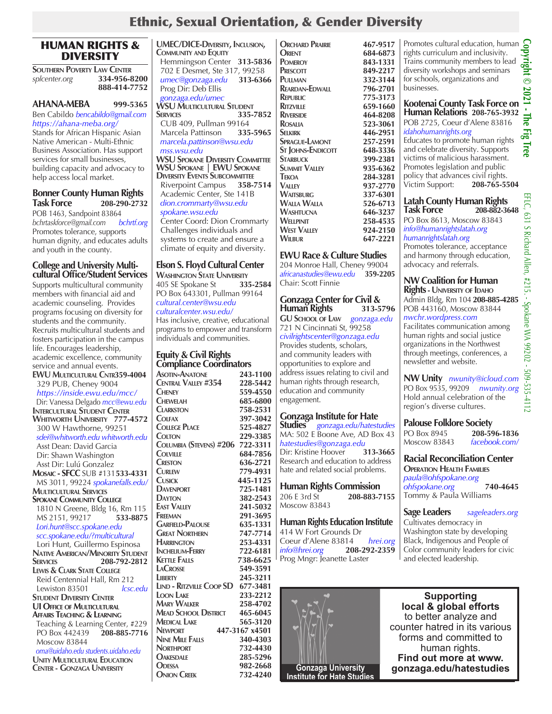## Ethnic, Sexual Orientation, & Gender Diversity

### HUMAN RIGHTS & DIVERSITY

**SOUTHERN POVERTY LAW CENTER**<br>splcenter.org **334-956-8** *splcenter.org* **334-956-8200 888-414-7752**

### **AHANA-MEBA 999-5365**

Ben Cabildo *bencabildo@gmail.com https://ahana-meba.org/* Stands for African Hispanic Asian Native American - Multi-Ethnic Business Association. Has support services for small businesses, building capacity and advocacy to help access local market.

### **Bonner County Human Rights Task Force 208-290-2732**

POB 1463, Sandpoint 83864<br>bchrtaskforce@gmail.com bchrtf.org *bchrtaskforce@gmail.com bchrtf.org* Promotes tolerance, supports human dignity, and educates adults and youth in the county.

#### **College and University Multicultural Office/Student Services**

Supports multicultural community members with financial aid and academic counseling. Provides programs focusing on diversity for students and the community. Recruits multicultural students and fosters participation in the campus life. Encourages leadership, academic excellence, community service and annual events. **EWU Multicultural Cntr359-4004** 329 PUB, Cheney 9004 *https://inside.ewu.edu/mcc/* Dir: Vanessa Delgado *mcc@ewu.edu* **Intercultural Student Center Whitworth University 777-4572** 300 W Hawthorne, 99251  *sdei@whitworth.edu whitworth.edu* Asst Dean: David Garcia Dir: Shawn Washington Asst Dir: Lulú Gonzalez **Mosaic - SFCC** SUB #131**533-4331** MS 3011, 99224 *spokanefalls.edu/*  **Multicultural Services Spokane Community College 1810 N Greene, Bldg 16, Rm 115**<br>MS 2151, 99217 **533-8875**  MS 2151, 99217 **533-8875**  *Lori.hunt@scc.spokane.edu scc.spokane.edu/?multicultural* Lori Hunt, Guillermo Espinosa **Native American/Minority Student Services 208-792-2812 Lewis & Clark State College** Reid Centennial Hall, Rm 212 Lewiston 83501 *lcsc.edu* **Student Diversity Center UI Office of Multicultural Affairs Teaching & Learning** Teaching & Learning Center, #229 PO Box 442439 **208-885-7716**  Moscow 83844  *oma@uidaho.edu students.uidaho.edu* **Unity Multicultural Education Center - Gonzaga University**

**UMEC/DICE-Diversity, Inclusion, Community and Equity** Hemmingson Center **313-5836** 702 E Desmet, Ste 317, 99258  *umec@gonzaga.edu* **313-6366** Prog Dir: Deb Ellis  *gonzaga.edu/umec* **WSU Multicultural Student Services 335-7852** CUB 409, Pullman 99164 Marcela Pattinson **335-5965**   *marcela.pattinson@wsu.edu mss.wsu.edu* **WSU Spokane Diversity Committee WSU Spokane | EWU Spokane Diversity Events Subcommittee** Riverpoint Campus **358-7514** Academic Center, Ste 141B  *dion.crommarty@wsu.edu spokane.wsu.edu* Center Coord: Dion Crommarty

 Challenges individuals and systems to create and ensure a climate of equity and diversity.

### **Elson S. Floyd Cultural Center**

**Washington State University** 405 SE Spokane St **335-2584** PO Box 643301, Pullman 99164 *cultural.center@wsu.edu culturalcenter.wsu.edu/* Has inclusive, creative, educational

programs to empower and transform individuals and communities.

### **Equity & Civil Rights Compliance Coordinators**

| <b>ASOTIN-ANATONE</b>             | 243-1100       |
|-----------------------------------|----------------|
| CENTRAL VALLEY #354               | 228-5442       |
| <b>CHENEY</b>                     | 559-4550       |
| <b>CHEWELAH</b>                   | 685-6800       |
| <b>CLARKSTON</b>                  | 758-2531       |
| COLFAX                            | 397-3042       |
| <b>COLLEGE PLACE</b>              | 525-4827       |
| <b>COLTON</b>                     | 229-3385       |
| Columbia (Stevens) #206           | 722-3311       |
| COLVILLE                          | 684-7856       |
| <b>CRESTON</b>                    | 636-2721       |
| <b>CURLEW</b>                     | 779-4931       |
| CUSICK                            | 445-1125       |
| <b>DAVENPORT</b>                  | 725-1481       |
| <b>DAYTON</b>                     | 382-2543       |
| <b>EAST VALLEY</b>                | 241-5032       |
| FREEMAN                           | 291-3695       |
| <b>GARFIELD-PALOUSE</b>           | 635-1331       |
| <b>GREAT NORTHERN</b>             | 747-7714       |
| <b>HARRINGTON</b>                 | 253-4331       |
| <b>INCHELIUM-FERRY</b>            | 722-6181       |
| <b>KETTLE FALLS</b>               | 738-6625       |
| <b>LACROSSE</b>                   | 549-3591       |
| LIBERTY                           | 245-3211       |
| LIND - RITZVILLE COOP SD 677-3481 |                |
| <b>LOON LAKE</b>                  | 233-2212       |
| <b>MARY WALKER</b>                | 258-4702       |
| Mead School District              | 465-6045       |
| <b>MEDICAL LAKE</b>               | 565-3120       |
| <b>NEWPORT</b>                    | 447-3167 x4501 |
| <b>NINE MILE FALLS</b>            | 340-4303       |
| <b>NORTHPORT</b>                  | 732-4430       |
| <b>OAKESDALE</b>                  | 285-5296       |
| <b>ODESSA</b>                     | 982-2668       |
| <b>ONION CREEK</b>                | 732-4240       |

**ORCHARD PRAIRIE** 467-9517<br> **ORIENT** 684-6873 **ORIENT** 684-6873<br> **POMEROY** 843-1331 **PRESCOTT** 849-2217<br>**PULLMAN** 332-3144 **REARDAN-EDWALL**<br>**REPUBLIC Republic 775-3173 Ritzville 659-1660 RIVERSIDE** 464-8208<br>**ROSALIA** 523-3061 **Rosalia 523-3061 Sprague-Lamont 257-2591 ST JOHNS-ENDICOTT Starbuck 399-2381 SUMMIT VALLEY 935-6362**<br>**TEKOA 284-3281 Valley 937-2770 Waitsburg 337-6301 Walla Walla 526-6713 Washtucna**<br>**Wellpinit WEST VALLEY**<br>**WILBUR** 

### **EWU Race & Culture Studies**

204 Monroe Hall, Cheney 99004 *africanastudies@ewu.edu* **359-2205** Chair: Scott Finnie

**Tekoa 284-3281**

**Wellpinit 258-4535**

**Wilbur 647-2221**

#### **Gonzaga Center for Civil & Human** Rights

**GU School of Law** *gonzaga.edu* 721 N Cincinnati St, 99258 *civilrightscenter@gonzaga.edu* Provides students, scholars, and community leaders with opportunities to explore and address issues relating to civil and human rights through research, education and community engagement.

### **Gonzaga Institute for Hate**

**Studies** *gonzaga.edu/hatestudies* MA: 502 E Boone Ave, AD Box 43 *hatestudies@gonzaga.edu* Dir: Kristine Hoover Research and education to address hate and related social problems.

## **Human Rights Commission**

206 E 3rd St **208-883-7155**  Moscow 83843

**Human Rights Education Institute**  414 W Fort Grounds Dr Coeur d'Alene 83814 *hrei.org info@hrei.org* **208-292-2359** Prog Mngr: Jeanette Laster



**Pomeroy 843-1331 Pullman 332-3144** Promotes cultural education, human rights curriculum and inclusivity. Trains community members to lead diversity workshops and seminars for schools, organizations and businesses.

### **Selkirk 446-2951** businesses.<br> **Kootenai County Task Force on <sup>11</sup><br>
Human Relations 208-765-3932**<br>
POB 2725, Coeur d'Alene 83816 **Human Relations 208-765-3932** POB 2725, Coeur d'Alene 83816

*idahohumanrights.org* Educates to promote human rights and celebrate diversity. Supports victims of malicious harassment. Promotes legislation and public policy that advances civil rights. Victim Support: **208-765-5504**

### **Latah County Human Rights Task Force 208-882-3648**

PO Box 8613, Moscow 83843 *info@humanrightslatah.org humanrightslatah.org*

Promotes tolerance, acceptance and harmony through education, advocacy and referrals.

### **NW Coalition for Human Rights - University of Idaho**

Admin Bldg, Rm 104 **208-885-4285** POB 443160, Moscow 83844 *nwchr.wordpress.com*

Facilitates communication among human rights and social justice organizations in the Northwest through meetings, conferences, a newsletter and website.

### **NW Unity** *nwunity@icloud.com*

PO Box 9535, 99209 *nwunity.org* Hold annual celebration of the region's diverse cultures.

### **Palouse Folklore Society**

PO Box 8945 **208-596-1836** Moscow 83843 *facebook.com/*

#### **Racial Reconciliation Center Operation Health Families** *paula@ohfspokane.org ohfspokane.org* **740-4645** Tommy & Paula Williams

### **Sage Leaders** *sageleaders.org*

Cultivates democracy in Washington state by developing Black, Indigenous and People of Color community leaders for civic and elected leadership.



EFLC, 631 S Richard Allen, #215. - Spokane WA 99202 - 509-535-4112

. - Spokane WA 99202 - 509-535-4112

631 S Richard Allen, #215.

ELC,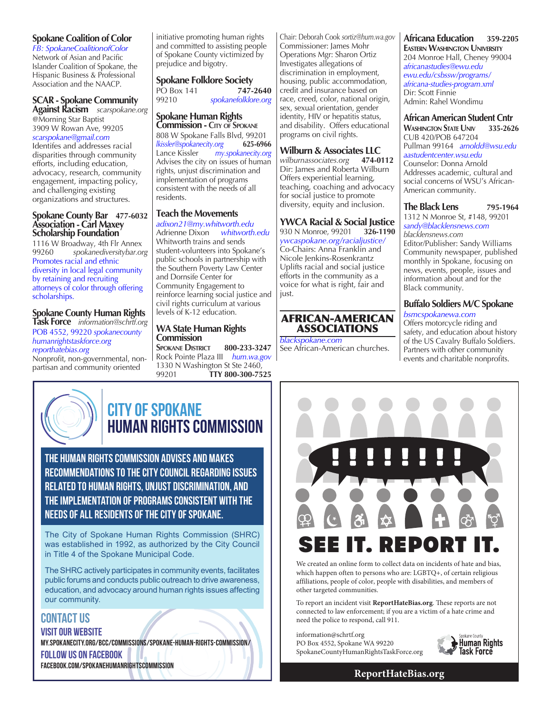### **Spokane Coalition of Color**

*FB: SpokaneCoalitionofColor*  Network of Asian and Pacific Islander Coalition of Spokane, the Hispanic Business & Professional Association and the NAACP.

### **SCAR - Spokane Community**

**Against Racism** *scarspokane.org* @Morning Star Baptist 3909 W Rowan Ave, 99205 *scarspokane@gmail.com* Identifes and addresses racial disparities through community efforts, including education, advocacy, research, community engagement, impacting policy, and challenging existing

### **Spokane County Bar 477-6032 Association - Carl Maxey Scholarship Foundation**

organizations and structures.

1116 W Broadway, 4th Flr Annex<br>99260 spokanediversitybar.or 99260 *spokanediversitybar.org* Promotes racial and ethnic diversity in local legal community by retaining and recruiting attorneys of color through offering scholarships.

#### **Spokane County Human Rights Task Force** *information@schrtf.org*

POB 4552, 99220 *spokanecounty humanrightstaskforce.org reporthatebias.org*

Nonprofit, non-governmental, nonpartisan and community oriented

initiative promoting human rights and committed to assisting people of Spokane County victimized by prejudice and bigotry.

**Spokane Folklore Society** PO Box 141 **747-2640**  99210 *spokanefolklore.org*

### **Spokane Human Rights Commission - City of Spokane**

808 W Spokane Falls Blvd, 99201 *lkissler@spokanecity.org* **625-6966** Lance Kissler *my.spokanecity.org* Advises the city on issues of human rights, unjust discrimination and implementation of programs consistent with the needs of all residents.

### **Teach the Movements**

*adixon21@my.whitworth.edu*  Adrienne Dixon *whitworth.edu* Whitworth trains and sends student-volunteers into Spokane's public schools in partnership with the Southern Poverty Law Center and Dornsife Center for Community Engagement to reinforce learning social justice and civil rights curriculum at various levels of K-12 education.

### **WA State Human Rights Commission**

**Spokane District 800-233-3247** Rock Pointe Plaza III *hum.wa.gov* 1330 N Washington St Ste 2460,<br>99201 **TTY 800-300-75** 99201 **TTY 800-300-7525**

Chair: Deborah Cook *sortiz@hum.wa.gov* Commissioner: James Mohr Operations Mgr: Sharon Ortiz Investigates allegations of discrimination in employment, housing, public accommodation, credit and insurance based on race, creed, color, national origin, sex, sexual orientation, gender identity, HIV or hepatitis status, and disability. Offers educational programs on civil rights.

### **Wilburn & Associates LLC**

*wilburnassociates.org* **474-0112** Dir: James and Roberta Wilburn Offers experiential learning, teaching, coaching and advocacy for social justice to promote diversity, equity and inclusion.

#### **YWCA Racial & Social Justice**<br>930 N Monroe, 99201 326-1190 930 N Monroe, 99201 **326-1190**

*ywcaspokane.org/racialjustice/* Co-Chairs: Anna Franklin and Nicole Jenkins-Rosenkrantz Uplifts racial and social justice efforts in the community as a voice for what is right, fair and just.



*blackspokane.com* See African-American churches. **Africana Education 359-2205 Eastern Washington University** 204 Monroe Hall, Cheney 99004 *africanastudies@ewu.edu ewu.edu/csbssw/programs/ africana-studies-program.xml*  Dir: Scott Finnie Admin: Rahel Wondimu

#### **African American Student Cntr Washington State Univ 335-2626** CUB 420/POB 647204 Pullman 99164 *arnoldd@wsu.edu* *aastudentcenter.wsu.edu* Counselor: Donna Arnold Addresses academic, cultural and social concerns of WSU's African-American community.

#### **The Black Lens** 795-1964 1312 N Monroe St, #148, 99201 *sandy@blacklensnews.com*

*blacklensnews.com* Editor/Publisher: Sandy Williams Community newspaper, published monthly in Spokane, focusing on news, events, people, issues and information about and for the Black community.

### **Buffalo Soldiers M/C Spokane** *bsmcspokanewa.com*

Offers motorcycle riding and safety, and education about history of the US Cavalry Buffalo Soldiers. Partners with other community events and charitable nonprofits.



## **CITY OF SPOKANE** Human rights commission

The Human Rights Commission advises and makes recommendations to the City Council regarding issues related to human rights, unjust discrimination, and the implementation of programs consistent with the needs of all residents of the City of Spokane.

The City of Spokane Human Rights Commission (SHRC) was established in 1992, as authorized by the City Council in Title 4 of the Spokane Municipal Code.

The SHRC actively participates in community events, facilitates public forums and conducts public outreach to drive awareness, education, and advocacy around human rights issues affecting our community.

CONTACT US VISIT OUR WEBSITE my.spokanecity.org/bcc/commissions/spokane-human-rights-commission/ FOLLOW US ON FACEBOOK facebook.com/SpokaneHumanRightsCommission



We created an online form to collect data on incidents of hate and bias, which happen often to persons who are: LGBTQ+, of certain religious affiliations, people of color, people with disabilities, and members of other targeted communities.

To report an incident visit **ReportHateBias.org**. These reports are not connected to law enforcement; if you are a victim of a hate crime and need the police to respond, call 911.

information@schrtf.org PO Box 4552, Spokane WA 99220 SpokaneCountyHumanRightsTaskForce.org



**ReportHateBias.org**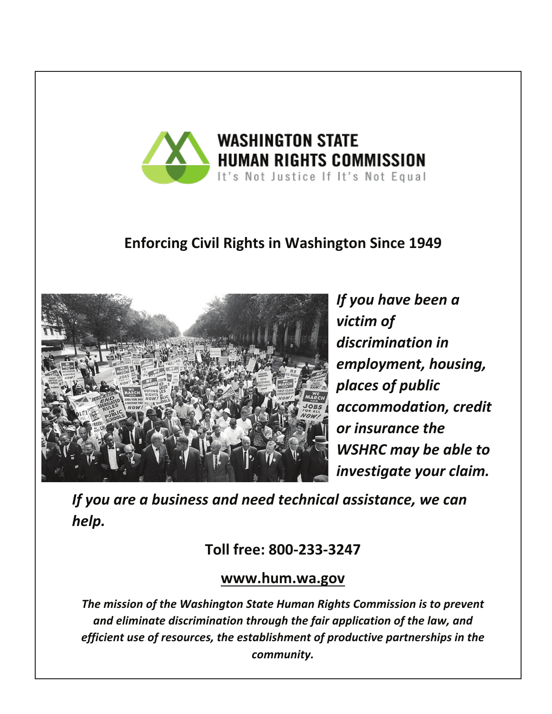

## **Enforcing Civil Rights in Washington Since 1949**



*If you have been a victim of*  discrimination in *employment, housing, places of public accommodation, credit <u>or insurance</u> the* **WSHRC** may be able to *investigate your claim.*

*If you are a business and need technical assistance, we can help.* 

## **Toll free: 800-233-3247**

## **www.hum.wa.gov**

The mission of the Washington State Human Rights Commission is to prevent and eliminate discrimination through the fair application of the law, and *efficient use of resources, the establishment of productive partnerships in the community.*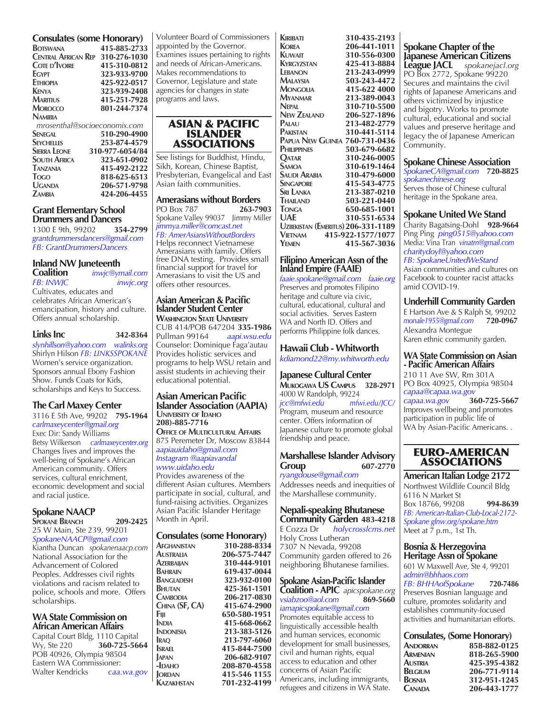| <b>Consulates (some Honorary)</b> |                                         |
|-----------------------------------|-----------------------------------------|
| <b>BOTSWANA</b>                   | 415-885-2733                            |
|                                   | <b>CENTRAL AFRICAN REP 310-276-1030</b> |
| <b>COTE D'IVOIRE</b>              | 415-310-0812                            |
| <b>EGYPT</b>                      | 323-933-9700                            |
| <b>FTHIOPIA</b>                   | 425-922-0517                            |
| <b>KENYA</b>                      | 323-939-2408                            |
| <b>MARITIUS</b>                   | 415-251-7928                            |
| MOROCCO                           | 801-244-7374                            |
| <b>NAMIRIA</b>                    |                                         |
|                                   | mrosenthal@socioeconomix.com            |
| <b>SENEGAL</b>                    | 510-290-4900                            |
| <b>SEYCHELLES</b>                 | 253-874-4579                            |
| <b>SIERRA LEONE</b>               | 310-977-6054/84                         |
| <b>SOUTH AFRICA</b>               | 323-651-0902                            |
| <b>TANZANIA</b>                   | 415-492-2122                            |
| Togo                              | 818-625-6513                            |
| UGANDA                            | 206-571-9798                            |
| <b>ZAMBIA</b>                     | 424-206-4455                            |

### **Grant Elementary School Drummers and Dancers**<br>1300 E 9th, 99202 354-2799

1300 E 9th, 99202 *grantdrummersdancers@gmail.com FB: GrantDrummersDancers*

## **Inland NW Juneteenth**

**Coalition** *inwjc@ymail.com inwic.org* Cultivates, educates and celebrates African American's emancipation, history and culture. Offers annual scholarship.

```
Links Inc 342-8364
```
*slynhillson@yahoo.com walinks.org* Shirlyn Hilson *FB: LINKSSPOKANE* Women's service organization. Sponsors annual Ebony Fashion Show. Funds Coats for Kids, scholarships and Keys to Success.

### **The Carl Maxey Center**

3116 E 5th Ave, 99202 **795-1964** *carlmaxeycenter@gmail.org* Exec Dir: Sandy Williams Betsy Wilkerson *carlmaxeycenter.org* Changes lives and improves the well-being of Spokane's African American community. Offers services, cultural enrichment, economic development and social and racial justice.

### **Spokane NAACP**

scholarships.

**Spokane Branch 209-2425**  25 W Main, Ste 239, 99201 *SpokaneNAACP@gmail.com* Kiantha Duncan *spokanenaacp.com* National Association for the Advancement of Colored Peoples. Addresses civil rights violations and racism related to police, schools and more. Offers

### **WA State Commission on African American Affairs**

Capital Court Bldg, 1110 Capital<br>Wy, Ste 220 **360-725-56** Wy, Ste 220 **360-725-5664** POB 40926, Olympia 98504 Eastern WA Commissioner: Walter Kendricks *caa.wa.gov*

Volunteer Board of Commissioners appointed by the Governor. Examines issues pertaining to rights and needs of African-Americans. Makes recommendations to Governor, Legislature and state agencies for changes in state programs and laws.

### ASIAN & PACIFIC ISLANDER ASSOCIATIONS

See listings for Buddhist, Hindu, Sikh, Korean, Chinese Baptist, Presbyterian, Evangelical and East Asian faith communities.

**Amerasians without Borders** PO Box 787 **263-7903** Spokane Valley 99037 Jimmy Miller *jimmya.miller@comcast.net FB: AmerAsiansWithoutBorders* Helps reconnect Vietnamese Amerasians with family. Offers free DNA testing. Provides small financial support for travel for Amerasians to visit the US and offers other resources.

#### **Asian American & Pacific Islander Student Center Washington State University**

CUB 414/POB 647204 **335-1986** Pullman 99164 *aapi.wsu.edu* Counselor: Dominique Faga'autau Provides holistic services and programs to help WSU retain and assist students in achieving their educational potential.

### **Asian American Pacific Islander Association (AAPIA)**

**University of Idaho 208)-885-7716 Office of Multicultural Affairs** 875 Peremeter Dr, Moscow 83844 *aapiauidaho@gmail.com Instagram @aapiavandal www.uidaho.edu* Provides awareness of the different Asian cultures. Members participate in social, cultural, and fund-raising activities. Organizes

Asian Pacific Islander Heritage Month in April.

#### **Consulates (some Honorary)**  $A$ **FGH**

| <b>AFGHANISTAN</b> | 310-288-8334 |
|--------------------|--------------|
| <b>AUSTRALIA</b>   | 206-575-7447 |
| <b>AZERBAIIAN</b>  | 310-444-9101 |
| BAHRAIN            | 619-437-0044 |
| <b>BANGLADESH</b>  | 323-932-0100 |
| BHUTAN             | 425-361-1501 |
| <b>CAMBODIA</b>    | 206-217-0830 |
| CHINA (SF, CA)     | 415-674-2900 |
| Fiji               | 650-580-1951 |
| <b>INDIA</b>       | 415-668-0662 |
| <b>INDONESIA</b>   | 213-383-5126 |
| <b>IRAO</b>        | 213-797-6060 |
| <b>SRAEL</b>       | 415-844-7500 |
| <b>APAN</b>        | 206-682-9107 |
| $-IDAHO$           | 208-870-4558 |
| <b>ORDAN</b>       | 415-546 1155 |
| KAZAKHSTAN         | 701-232-4199 |

| KIRIBATI                             | 310-435-2193      |
|--------------------------------------|-------------------|
| <b>KOREA</b>                         | 206-441-1011      |
| Kuwait                               | 310-556-0300      |
| KYRGYZSTAN                           | 425-413-8884      |
| LEBANON                              | 213-243-0999      |
| MALAYSIA                             | 503-243-4472      |
| MONGOLIA                             | 415-622 4000      |
| <b>M</b> yanmar                      | 213-389-0043      |
| <b>NEPAL</b>                         | 310-710-5500      |
| <b>NEW ZEALAND</b>                   | 206-527-1896      |
| PALAU                                | 213-482-2779      |
| PAKISTAN                             | 310-441-5114      |
| <b>PAPUA NEW GUINEA 760-731-0436</b> |                   |
| PHILIPPINES                          | 503-679-6682      |
| OATAR                                | 310-246-0005      |
| Samoa                                | 310-619-1464      |
| Saudi Arabia                         | 310-479-6000      |
| SINGAPORE                            | 415-543-4775      |
| Sri Lanka                            | 213-387-0210      |
| THAILAND                             | 503-221-0440      |
| <b>TONGA</b>                         | 650-685-1001      |
| UAF                                  | 310-551-6534      |
| UZBEKISTAN (EMERITUS) 206-331-1189   |                   |
| <b>VIETNAM</b>                       | 415-922-1577/1077 |
| YEMEN                                | 415-567-3036      |

### **Filipino American Assn of the Inland Empire (FAAIE)**

*faaie.spokane@gmail.com faaie.org* Preserves and promotes Filipino heritage and culture via civic, cultural, educational, cultural and social activities. Serves Eastern WA and North ID. Offers and performs Philippine folk dances.

### **Hawaii Club - Whitworth** *kdiamond22@my.whitworth.edu*

**Japanese Cultural Center Mukogawa US Campus 328-2971** 4000 W Randolph, 99224<br>icc@mfwi.edu mfv *jcc@mfwi.edu mfwi.edu/JCC/* Program, museum and resource center. Offers information of

Japanese culture to promote global friendship and peace.

#### **Marshallese Islander Advisory Group 607-2770**

*ryangdouse@gmail.com* Addresses needs and inequities of the Marshallese community.

### **Nepali-speaking Bhutanese**

**Community Garden 483-4218** E Cozza Dr *holycrosslcms.net* Holy Cross Lutheran 7307 N Nevada, 99208 Community garden offered to 26 neighboring Bhutanese families.

### **Spokane Asian-Pacific Islander**

**Coalition - APIC** *apicspokane.org vsiabzoo@aol.com* **869-5660** *iamapicspokane@gmail.com* Promotes equitable access to linguistically accessible health and human services, economic development for small businesses, civil and human rights, equal access to education and other concerns of Asian Pacific Americans, including immigrants, refugees and citizens in WA State.

**Spokane Chapter of the Japanese American Citizens League JACL** *spokanejacl.org* PO Box 2772, Spokane 99220 Secures and maintains the civil rights of Japanese Americans and others victimized by injustice and bigotry. Works to promote cultural, educational and social values and preserve heritage and

### **Spokane Chinese Association**

Community.

legacy the of Japanese American

*SpokaneCA@gmail.com* **720-8825** *spokanechinese.org* Serves those of Chinese cultural heritage in the Spokane area.

### **Spokane United We Stand**

Charity Bagatsing-Dohl **928-9664** Ping Ping *ping0515@yahoo.com*  Media: Vina Tran *vinatrn@gmail.com charitydoyl@yahoo.com FB: SpokaneUnitedWeStand*  Asian communities and cultures on

Facebook to counter racist attacks amid COVID-19.

### **Underhill Community Garden**

E Hartson Ave & S Ralph St, 99202<br>monale1955@gmail.com 720-0967 *monale1955@gmail.com* **720-0967** Alexandra Montegue Karen ethnic community garden.

#### **WA State Commission on Asian - Pacific American Affairs**

210 11 Ave SW, Rm 301A PO Box 40925, Olympia 98504 *capaa@capaa.wa.gov*  $capaa.wa.gov$ Improves wellbeing and promotes participation in public life of WA by Asian-Pacific Americans. .

### EURO-AMERICAN ASSOCIATIONS

**American Italian Lodge 2172** Northwest Wildlife Council Bldg 6116 N Market St Box 18766, 99208 **994-8639** *FB: American-Italian-Club-Local-2172- Spokane glnw.org/spokane.htm* Meet at  $\overline{7}$  p.m., 1st Th.

### **Bosnia & Herzegovina Heritage Assn of Spokane**

601 W Maxwell Ave, Ste 4, 99201 *admin@bhhaos.com FB: BHHAofSpokane* **720-7486**

Preserves Bosnian language and culture, promotes solidarity and establishes community-focused activities and humanitarian efforts.

### **Consulates, (Some Honorary)**

| $\epsilon$ concentres, (bonner roman $\eta$ ) |
|-----------------------------------------------|
| 858-882-0125                                  |
| 818-265-5900                                  |
| 425-395-4382                                  |
| 206-771-9114                                  |
| 312-951-1245                                  |
| 206-443-1777                                  |
|                                               |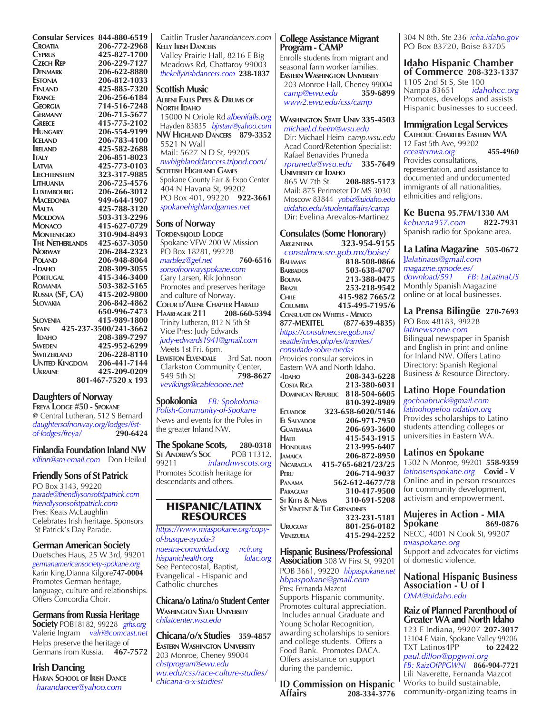**Consular Services 844-880-6519 Croatia 206-772-2968 Cyprus 425-827-1700 Czech Rep 206-229-7127 DENMARK 206-622-8880**<br>**ESTONIA 206-812-1033 Estonia 206-812-1033 Finland 425-885-7320 France 206-256-6184 Georgia 714-516-7248 GERMANY 206-715-5677**<br>**GREECE 415-775-2102 GREECE** 415-775-2102<br> **HUNGARY** 206-554-9199 **Hungary 206-554-9199 ICELAND 206-783-4100**<br>**IRELAND 425-582-2688 IRELAND** 425-582-2688<br>**I**TALY 206-851-8023 **Italy 206-851-8023 Latvia 425-773-0103 LIECHTENSTEIN 323-317-9885**<br> **LITHUANIA 206-725-4576 LITHUANIA 206-725-4576**<br> **LIXEMROURG 206-266-3012 Luxembourg 206-266-3012 Macedonia 949-644-1907**<br>**Malta 425-788-3120 Malta 425-788-3120 Moldova 503-313-2296**<br>**Monaco 415-627-0729 Monaco 415-627-0729 Montenegro 310-904-8493 The Netherlands**<br>**Norway Norway 206-284-2323 Poland 206-948-8064 -Idaho 208-309-3055 Portugal 415-346-3400 Romania 503-382-5165 RUSSIA (SF, CA)**<br>Slovakia **Slovakia 206-842-4862 650-996-7473 Slovenia 415-989-1800 Spain 425-237-3500/241-3662 IDAHO 208-389-7297**<br> **SWEDEN 425-952-6299 Sweden 425-952-6299 Switzerland 206-228-8110 United Kingdom 206-441-7144 Ukraine 425-209-0209 801-467-7520 x 193**

### **Daughters of Norway**

**Freya Lodge #50 - Spokane** @ Central Lutheran, 512 S Bernard *daughtersofnorway.org/lodges/listof-lodges/freya/* **290-6424**

**Finlandia Foundation Inland NW** *idfinn@sm-email.com* Don Heikul

### **Friendly Sons of St Patrick**

PO Box 3143, 99220 *parade@friendlysonsofstpatrick.com friendlysonsofstpatrick.com* Pres: Keats McLaughlin Celebrates Irish heritage. Sponsors St Patrick's Day Parade.

### **German American Society**

Duetsches Haus, 25 W 3rd, 99201 *germanamericansociety-spokane.org* Karin King,Dianna Kilgore**747-0004** Promotes German heritage, language, culture and relationships. Offers Concordia Choir.

### **Germans from Russia Heritage**

**Society** POB18182, 99228 *grhs.org* Valerie Ingram *valri@comcast.net* Helps preserve the heritage of Germans from Russia. **467-7572**

### **Irish Dancing**

**Haran School of Irish Dance**  *harandancer@yahoo.com*

 Caitlin Trusler *harandancers.com* **Kelly Irish Dancers** Valley Prairie Hall, 8216 E Big Meadows Rd, Chattaroy 99003  *thekellyirishdancers.com* **238-1837 Scottish Music Albeni Falls Pipes & Drums of North Idaho** 15000 N Oriole Rd *albenifalls.org* Hayden 83835 *bjrstarr@yahoo.com* **NW Highland Dancers 879-3352**  5521 N Wall Mail: 5627 N D St, 99205  *nwhighlanddancers.tripod.com/* **Scottish Highland Games** Spokane County Fair & Expo Center 404 N Havana St, 99202 PO Box 401, 99220 **922-3661**  *spokanehighlandgames.net* **Sons of Norway TORDENSKIOLD LODGE**  Spokane VFW 200 W Mission PO Box 18281, 99228  *marblez@gel.net* **760-6516** *sonsofnorwayspokane.com* Gary Larsen, Rik Johnson Promotes and preserves heritage and culture of Norway. **Coeur d'Alene Chapter Harald HAARFAGER 211**  Trinity Lutheran, 812 N 5th St Vice Pres: Judy Edwards  *judy-edwards1941@gmail.com* Meets 1st Fri. 6pm. **Lewiston Elvendale** 3rd Sat, noon Clarkston Community Center,<br>549 5th St 798-86 549 5th St **798-8627**  *vevikings@cableoone.net* **Spokolonia** *FB: Spokolonia-Polish-Community-of-Spokane* News and events for the Poles in the greater Inland NW. **The Spokane Scots, 280-0318 ST ANDREW'S Soc** 99211 *inlandnwscots.org* Promotes Scottish heritage for descendants and others.

### HISPANIC/LATINX RESOURCES

*https://www.miaspokane.org/copyof-busque-ayuda-3 nuestra-comunidad.org nclr.org*  $h$ *ispanichealth.org* See Pentecostal, Baptist, Evangelical - Hispanic and Catholic churches

**Chicana/o Latina/o Student Center Washington State University** *chilatcenter.wsu.edu*

**Chicana/o/x Studies 359-4857 Eastern Washington University** 203 Monroe, Cheney 99004 *chstprogram@ewu.edu wu.edu/css/race-culture-studies/ chicana-o-x-studies*/

### **College Assistance Migrant Program - CAMP**

Enrolls students from migrant and seasonal farm worker families. **Eastern Washington University** 203 Monroe Hall, Cheney 99004<br>
camp@ewu.edu 359-6899  *camp@ewu.edu* **359-6899**  *www2.ewu.edu/css/camp*

#### **Washington State Univ 335-4503**  *michael.d.heim@wsu.edu* Dir: Michael Heim *camp.wsu.edu* Acad Coord/Retention Specialist: Rafael Benavides Pruneda

 *rpruneda@wsu.edu* **335-7649 University of Idaho** 865 W 7th St **208-885-5173** Mail: 875 Perimeter Dr MS 3030 Moscow 83844 *yobiz@uidaho.edu uidaho.edu/studentaffairs/camp*

 Dir: Evelina Arevalos-Martinez **Consulates (Some Honorary) Argentina 323-954-9155**  *consulmex.sre.gob.mx/boise/* **Bahamas 818-508-0866 Barbados 503-638-4707 Bolivia 213-388-0475 Brazil 253-218-9542 Chile 415-982 7665/2 Columbia 415-495-7195/6 Consulate on Wheels - Mexico 877-MEXITEL (877-639-4835)** *https://consulmex.sre.gob.mx/ seattle/index.php/es/tramites/ consulado-sobre-ruedas* Provides consular services in Eastern WA and North Idaho.<br>- IDАНО 208-343 **-Idaho 208-343-6228 Costa Rica 213-380-6031 Dominican Republic 818-504-6605 810-392-8989 Ecuador 323-658-6020/5146 EL SALVADOR 206-971-7950**<br>**GUATEMALA 206-693-3600 Guatemala 206-693-3600 Haiti 415-543-1915**

**Honduras 213-995-6407 Jamaica 206-872-8950 Nicaragua 415-765-6821/23/25 PERU 206-714-9037**<br>**PANAMA** 562-612-4677/78 **PANAMA 562-612-4677/78**<br>**PARAGUAY 310-417-9500 Paraguay 310-417-9500 St Kitts & Nevis 310-691-5208 St Vincent & The Grenadines 323-231-5181 Uruguay 801-256-0182 Venezuela 415-294-2252**

**Hispanic Business/Professional Association** 308 W First St, 99201 POB 3661, 99220 *hbpaspokane.net hbpaspokane@gmail.com*

Pres: Fernanda Mazcot Supports Hispanic community. Promotes cultural appreciation. Includes annual Graduate and Young Scholar Recognition, awarding scholarships to seniors and college students. Offers a Food Bank. Promotes DACA. Offers assistance on support during the pandemic.

**ID Commission on Hispanic Affairs 208-334-3776** 304 N 8th, Ste 236 *icha.idaho.gov* PO Box 83720, Boise 83705

### **Idaho Hispanic Chamber of Commerce 208-323-1337** 1105 2nd St S, Ste 100<br>Nampa 83651 *idahohcc.org* Nampa 83651 *idahohcc.org*

Promotes, develops and assists Hispanic businesses to succeed.

### **Immigration Legal Services**

**Catholic Charities Eastern WA**  12 East 5th Ave, 99202 *cceasternwa.org* **455-4960** Provides consultations, representation, and assistance to documented and undocumented immigrants of all nationalities, ethnicities and religions.

## **Ke Buena 95.7FM/1330 AM**

 $keb$ uena957.com Spanish radio for Spokane area.

### **La Latina Magazine 505-0672**

**]***lalatinaus@gmail.com magazine.qmode.es/ download/591 FB: LaLatinaUS* Monthly Spanish Magazine online or at local businesses.

#### **La Prensa Bilingüe 270-7693** PO Box 48183, 99228 *latinewszone.com*

Bilingual newspaper in Spanish and English in print and online for Inland NW. Offers Latino Directory: Spanish Regional Business & Resource Directory.

### **Latino Hope Foundation**

*gochoabruck@gmail.com latinohopefou ndation.org* Provides scholarships to Latino students attending colleges or universities in Eastern WA.

### **Latinos en Spokane**

1502 N Monroe, 99201 **558-9359** *latinosenspokane.org* **Covid - V** Online and in person resources for community development, activism and empowerment.

### **Mujeres in Action - MIA Spokane 869-0876**

NECC, 4001 N Cook St, 99207 *miaspokane.org* Support and advocates for victims of domestic violence.

#### **National Hispanic Business Association - U of I** *OMA@uidaho.edu*

### **Raiz of Planned Parenthood of Greater WA and North Idaho**

123 E Indiana, 99207 **207-3017** 12104 E Main, Spokane Valley 99206 TXT Latinos4PP **to 22422** *paul.dillon@ppgwni.org FB: RaizOfPPGWNI* **866-904-7721** Lili Naverette, Fernanda Mazcot Works to build sustainable, community-organizing teams in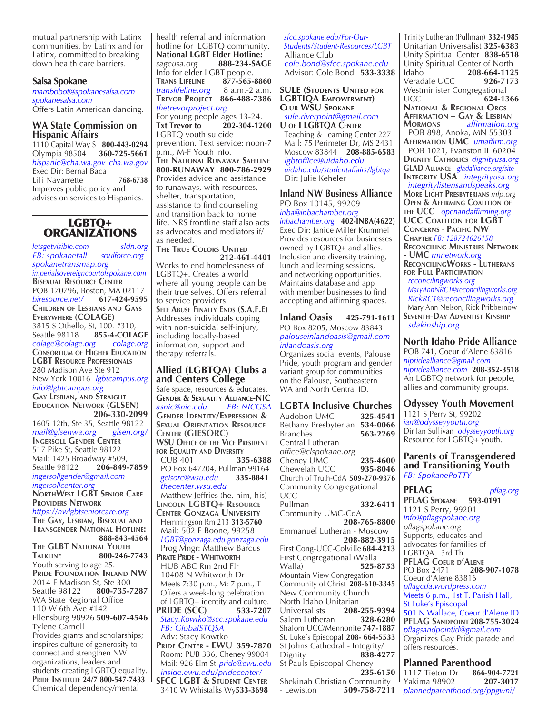mutual partnership with Latinx communities, by Latinx and for Latinx, committed to breaking down health care barriers.

### **Salsa Spokane**

*mambobot@spokanesalsa.com spokanesalsa.com* Offers Latin American dancing.

#### **WA State Commission on Hispanic Affairs**

1110 Capital Way S **800-443-0294** Olympia 98504 **360-725-5661** *hispanic@cha.wa.gov cha.wa.gov* Exec Dir: Bernal Baca Lili Navarrette **768-6738** Improves public policy and advises on services to Hispanics.

# LGBTQ+ ORGANIZATIONS

*letsgetvisible.com sldn.org FB: spokanetall spokanetransmap.org imperialsovereigncourtofspokane.com* **Bisexual Resource Center** POB 170796, Boston, MA 02117 *biresource.net/* **617-424-9595 Children of Lesbians and Gays Everywhere (COLAGE)** 3815 S Othello, St, 100. #310, Seattle 98118 **855-4-COLAGE** *colage@colage.org colage.org* **CONSORTIUM OF HIGHER EDUCATION LGBT Resource Professionals** 280 Madison Ave Ste 912 New York 10016 *lgbtcampus.org info@lgbtcampus.org* **Gay Lesbian, and Straight Education Network (GLSEN) 206-330-2099**  1605 12th, Ste 35, Seattle 98122 *mail@glsenwa.org glsen.org/* **Ingersoll Gender Center** 517 Pike St, Seattle 98122 Mail: 1425 Broadway #509, Seattle 98122 **206-849-7859** *ingersollgender@gmail.com ingersollcenter.org* **NorthWest LGBT Senior Care Providers Network** *https://nwlgbtseniorcare.org*  **The Gay, Lesbian, Bisexual and Transgender National Hotline: 888-843-4564 The GLBT National Youth Talkline 800-246-7743**  Youth serving to age 25. **Pride Foundation Inland NW** 2014 E Madison St, Ste 300<br>Seattle 98122 **800-735-7** Seattle 98122 **800-735-7287** WA State Regional Office 110 W 6th Ave #142 Ellensburg 98926 **509-607-4546** Tylene Carnell Provides grants and scholarships; inspires culture of generosity to connect and strengthen NW organizations, leaders and students creating LGBTQ equality. **Pride Institute 24/7 800-547-7433** Chemical dependency/mental

health referral and information hotline for LGBTQ community. **National LGBT Elder Hotline:**  *sageusa.org* **888-234-SAGE** Info for elder LGBT people.<br>TRANS LIFELINE 877-565-8860 **TRANS LIFELINE 877-565-8860**<br>translifeline.org 8 a.m.-2 a.m.  $transl$ *ifeline.org* **Trevor Project 866-488-7386** *thetrevorproject.org* For young people ages 13-24. **Txt Trevor to 202-304-1200** LGBTQ youth suicide

prevention. Text service: noon-7 p.m., M-F Youth Info. **The National Runaway Safeline 800-RUNAWAY 800-786-2929** Provides advice and assistance to runaways, with resources, shelter, transportation, assistance to find counseling and transition back to home life. NRS frontline staff also acts

as advocates and mediators if/ as needed.

**The True Colors United 212-461-4401** Works to end homelessness of LGBTQ+. Creates a world where all young people can be their true selves. Offers referral to service providers. **Self Abuse Finally Ends (S.A.F.E)** Addresses individuals coping with non-suicidal self-injury, including locally-based information, support and therapy referrals.

#### **Allied (LGBTQA) Clubs a and Centers College**

Safe space, resources & educates. **Gender & Sexuality Alliance-NIC** *asnic@nic.edu FB: NICGSA* **Gender Identity/Expression & Sexual Orientation Resource Center (GIESORC) WSU Office of the Vice President for Equality and Diversity** CUB 401 **335-6388** PO Box 647204, Pullman 99164  *geisorc@wsu.edu* **335-8841**  *thecenter.wsu.edu* Matthew Jeffries (he, him, his) **Lincoln LGBTQ+ Resource Center Gonzaga University** Hemmingson Rm 213 **313-5760** Mail: 502 E Boone, 99258 *LGBT@gonzaga.edu gonzaga.edu* Prog Mngr: Matthew Barcus **PIRATE PRIDE - WHITWORTH**  HUB ABC Rm 2nd Flr 10408 N Whitworth Dr Meets 7:30 p.m., M; 7 p.m., T Offers a week-long celebration of LGBTQ+ identity and culture. **PRIDE (SCC) 533-7207**  *Stacy.Kowtko@scc.spokane.edu FB: GlobalSTQSA* Adv: Stacy Kowtko **Pride Center - EWU 359-7870** Room: PUB 336, Cheney 99004 Mail: 926 Elm St *pride@ewu.edu inside.ewu.edu/pridecenter/* **SFCC LGBT & STUDENT CENTER** 3410 W Whistalks Wy**533-3698** 

 *sfcc.spokane.edu/For-Our- Students/Student-Resources/LGBT* Alliance Club  *cole.bond@sfcc.spokane.edu* Advisor: Cole Bond **533-3338**

#### **SULE (Students United for LGBTIQA Empowerment) Club WSU Spokane**

 *sule.riverpoint@gmail.com* **U of I LGBTQA Center** Teaching & Learning Center 227 Mail: 75 Perimeter Dr, MS 2431 Moscow 83844 **208-885-6583**  *lgbtoffice@uidaho.edu uidaho.edu/studentaffairs/lgbtqa* Dir: Julie Keheler

#### **Inland NW Business Alliance** PO Box 10145, 99209 *inba@inbachamber.org inbachamber.org* **402-INBA(4622)** Exec Dir: Janice Miller Krummel Provides resources for businesses

owned by LGBTQ+ and allies. Inclusion and diversity training, lunch and learning sessions, and networking opportunities. Maintains database and app with member businesses to find accepting and affirming spaces.

#### **Inland Oasis 425-791-1611** PO Box 8205, Moscow 83843 *palouseinlandoasis@gmail.com inlandoasis.org*

Organizes social events, Palouse Pride, youth program and gender variant group for communities on the Palouse, Southeastern WA and North Central ID.

### **LGBTA Inclusive Churches**

Audobon UMC **325-4541** Bethany Presbyterian **534-0066** Branches **563-2269** Central Lutheran *office@clspokane.org*  Cheney UMC **235-4600** Chewelah UCC **935-8046** Church of Truth-CdA **509-270-9376** Community Congregational UCC<br>Pullman Pullman **332-6411** Community UMC-CdA  **208-765-8800** Emmanuel Lutheran - Moscow  **208-882-3915** First Cong-UCC-Colville **684-4213** First Congregational (Walla Walla) **525-8753** Mountain View Congregation Community of Christ **208-610-3345** New Community Church North Idaho Unitarian Universalists **208-255-9394** Salem Lutheran Shalom UCC/Mennonite **747-1887** St. Luke's Episcopal **208- 664-5533** St Johns Cathedral - Integrity/<br>Dignity **838-42** Dignity **838-4277** St Pauls Episcopal Cheney **235-6150** Shekinah Christian Community

- Lewiston **509-758-7211**

Trinity Lutheran (Pullman) **332-1985** Unitarian Universalist **325-6383** Unity Spiritual Center **838-6518** Unity Spiritual Center of North Idaho **208-664-1125**<br>
Veradale UCC 926-7173 Veradale UCC **926-7173** Westminister Congregational<br>UCC 624-13 UCC **624-1366 National & Regional Orgs Affirmation – Gay & Lesbian Mormons** *affirmation.org* POB 898, Anoka, MN 55303 **Affirmation UMC** *umaffirm.org* POB 1021, Evanston IL 60204 **Dignity Catholics** *dignityusa.org* **GLAD Alliance** *gladalliance.org/site* **Integrity USA** *integrityusa.org integritylistensandspeaks.org* **More Light Presbyterians** *mlp.org* **Open & Affirming Coalition of the UCC** *openandaffirming.org* **UCC Coalition for LGBT Concerns** - **Pacific NW Chapter** *FB: 128724626158* **Reconciling Ministries Network - UMC** *rmnetwork.org* **ReconcilingWorks - Lutherans for Full Participation**  *reconcilingworks.org MaryAnnNRC1@reconcilingworks.org*

 *RickRC1@reconcilingworks.org* Mary Ann Nelson, Rick Pribbernow **Seventh-Day Adventist Kinship**  *sdakinship.org*

**North Idaho Pride Alliance** POB 741, Coeur d'Alene 83816 *nipridealliance@gmail.com nipridealliance.com* **208-352-3518** An LGBTQ network for people, allies and community groups.

**Odyssey Youth Movement** 1121 S Perry St, 99202 *ian@odysseyyouth.org* Dir Ian Sullivan *odysseyyouth.org* Resource for LGBTQ+ youth.

#### **Parents of Transgendered and Transitioning Youth** *FB: SpokanePoTTY*

**PFLAG** *pflag.org* **PFLAG Spokane 593-0191** 1121 S Perry, 99201 *info@pflagspokane.org pflagspokane.org*  Supports, educates and advocates for families of LGBTQA. 3rd Th. **PFLAG COEUR D'ALENE**<br>PO Box 2471 208-PO Box 2471 **208-907-1078** Coeur d'Alene 83816 *pflagcda.wordpress.com* Meets 6 p.m., 1st T, Parish Hall, St Luke's Episcopal 501 N Wallace, Coeur d'Alene ID **PFLAG Sandpoint 208-755-3024** *pflagsandpointid@gmail.com* Organizes Gay Pride parade and offers resources.

### **Planned Parenthood**

1117 Tieton Dr **866-904-7721**  Yakima 98902 **207-3017** *plannedparenthood.org/ppgwni/*